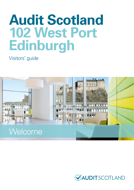# **Audit Scotland 102 West Port Edinburgh**

#### Visitors' guide



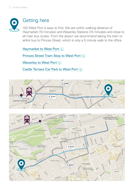

#### Getting here

102 West Port is easy to find. We are within walking distance of Haymarket (10 minutes) and Waverley Stations (15 minutes) and close to all main bus routes. From the airport we recommend taking the tram or airlink bus to Princes Street, which is only a 5 minute walk to the office.

Haymarket to West Port

**[Princes Street Tram Stop to West Port](https://www.google.co.uk/maps/dir/55.9518493,-3.1979326/W+Port,+Edinburgh+EH3+9DN,+UK/@55.9488735,-3.2068916,16z/am=t/data=!3m1!4b1!4m9!4m8!1m0!1m5!1m1!1s0x4887c79922ded8af:0xf3b799c1f1638299!2m2!1d-3.2012194!2d55.9457869!3e2?hl=en) No.** 

[Waverley to West Port](https://www.google.co.uk/maps/dir/Edinburgh+Waverley,+Edinburgh/W+Port,+Edinburgh+EH3+9DN,+UK/@55.9494496,-3.2000964,16z/am=t/data=!3m1!4b1!4m14!4m13!1m5!1m1!1s0x4887c78fbc266833:0x9947329ba2a64fe4!2m2!1d-3.1899702!2d55.9519979!1m5!1m1!1s0x4887c79922ded8af:0xf3b799c1f1638299!2m2!1d-3.2012194!2d55.9457869!3e2?hl=en)

[Castle Terrace Car Park to West Port](https://www.google.co.uk/maps/dir/Castle+Terrace+Car+Park,+Castle+Terrace,+Edinburgh/W+Port,+Edinburgh+EH3+9DN,+UK/@55.9467879,-3.2035248,18z/am=t/data=!3m1!4b1!4m14!4m13!1m5!1m1!1s0x4887c7985b651e17:0x4c65ec544ac63246!2m2!1d-3.2038341!2d55.9477806!1m5!1m1!1s0x4887c79922ded8af:0xf3b799c1f1638299!2m2!1d-3.2012194!2d55.9457869!3e2?hl=en) **R**